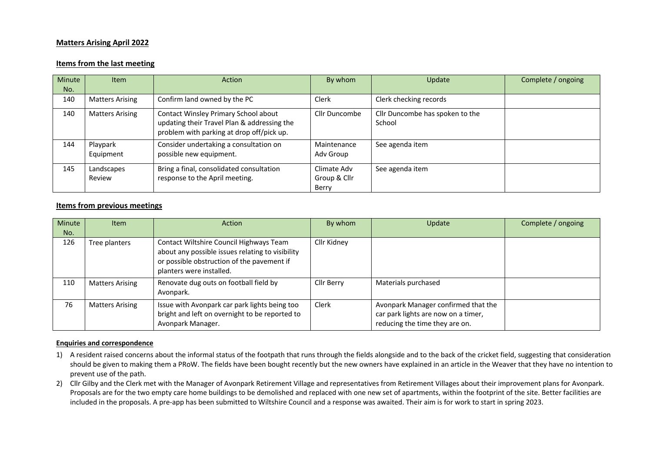## **Matters Arising April 2022**

## **Items from the last meeting**

| Minute<br>No. | <b>Item</b>            | Action                                                                                                                           | By whom                              | Update                                    | Complete / ongoing |
|---------------|------------------------|----------------------------------------------------------------------------------------------------------------------------------|--------------------------------------|-------------------------------------------|--------------------|
| 140           | <b>Matters Arising</b> | Confirm land owned by the PC                                                                                                     | Clerk                                | Clerk checking records                    |                    |
| 140           | <b>Matters Arising</b> | Contact Winsley Primary School about<br>updating their Travel Plan & addressing the<br>problem with parking at drop off/pick up. | Cllr Duncombe                        | Cllr Duncombe has spoken to the<br>School |                    |
| 144           | Playpark<br>Equipment  | Consider undertaking a consultation on<br>possible new equipment.                                                                | Maintenance<br>Adv Group             | See agenda item                           |                    |
| 145           | Landscapes<br>Review   | Bring a final, consolidated consultation<br>response to the April meeting.                                                       | Climate Adv<br>Group & Cllr<br>Berry | See agenda item                           |                    |

## **Items from previous meetings**

| Minute<br>No. | <b>Item</b>            | Action                                                                                                                                                                | By whom     | Update                                                                                                       | Complete / ongoing |
|---------------|------------------------|-----------------------------------------------------------------------------------------------------------------------------------------------------------------------|-------------|--------------------------------------------------------------------------------------------------------------|--------------------|
| 126           | Tree planters          | Contact Wiltshire Council Highways Team<br>about any possible issues relating to visibility<br>or possible obstruction of the pavement if<br>planters were installed. | Cllr Kidney |                                                                                                              |                    |
| 110           | <b>Matters Arising</b> | Renovate dug outs on football field by<br>Avonpark.                                                                                                                   | Cllr Berry  | Materials purchased                                                                                          |                    |
| 76            | <b>Matters Arising</b> | Issue with Avonpark car park lights being too<br>bright and left on overnight to be reported to<br>Avonpark Manager.                                                  | Clerk       | Avonpark Manager confirmed that the<br>car park lights are now on a timer,<br>reducing the time they are on. |                    |

## **Enquiries and correspondence**

- 1) A resident raised concerns about the informal status of the footpath that runs through the fields alongside and to the back of the cricket field, suggesting that consideration should be given to making them a PRoW. The fields have been bought recently but the new owners have explained in an article in the Weaver that they have no intention to prevent use of the path.
- 2) Cllr Gilby and the Clerk met with the Manager of Avonpark Retirement Village and representatives from Retirement Villages about their improvement plans for Avonpark. Proposals are for the two empty care home buildings to be demolished and replaced with one new set of apartments, within the footprint of the site. Better facilities are included in the proposals. A pre-app has been submitted to Wiltshire Council and a response was awaited. Their aim is for work to start in spring 2023.